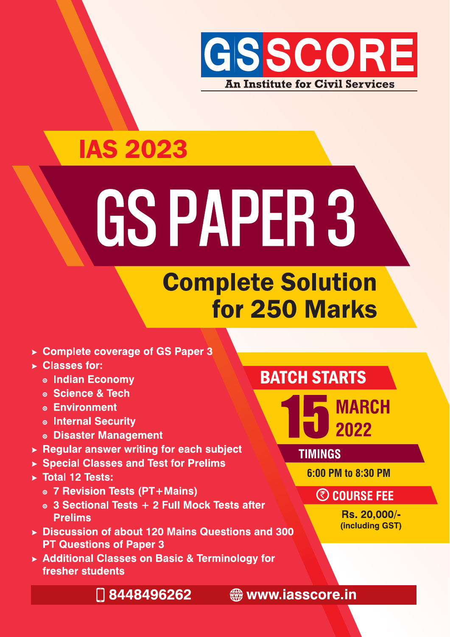

### **IAS 2023**

# GSPAPER 3

### **Complete Solution** for 250 Marks

- ► Complete coverage of GS Paper 3
- ▶ Classes for:
	- **o Indian Economy**
	- ◎ Science & Tech
	- **© Environment**
	- **o Internal Security**
	- **.** Disaster Management
- $\triangleright$  Regular answer writing for each subject
- ▶ Special Classes and Test for Prelims
- > Total 12 Tests:
	- ⊙ 7 Revision Tests (PT+Mains)
	- ◎ 3 Sectional Tests + 2 Full Mock Tests after **Prelims**
- ▶ Discussion of about 120 Mains Questions and 300 **PT Questions of Paper 3**
- ▶ Additional Classes on Basic & Terminology for fresher students

#### **BATCH STARTS**



**TIMINGS** 

6:00 PM to 8:30 PM

#### **@ COURSE FEE**

Rs. 20,000/-(including GST)

□ 8448496262

**stage www.iasscore.in**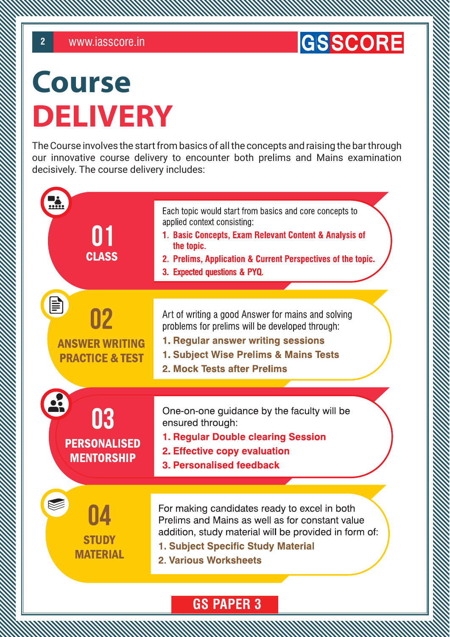#### **GSSCORE**

### Course DELIVERY

The Course involves the start from basics of all the concepts and raising the bar through our innovative course delivery to encounter both prelims and Mains examination decisively. The course delivery includes:

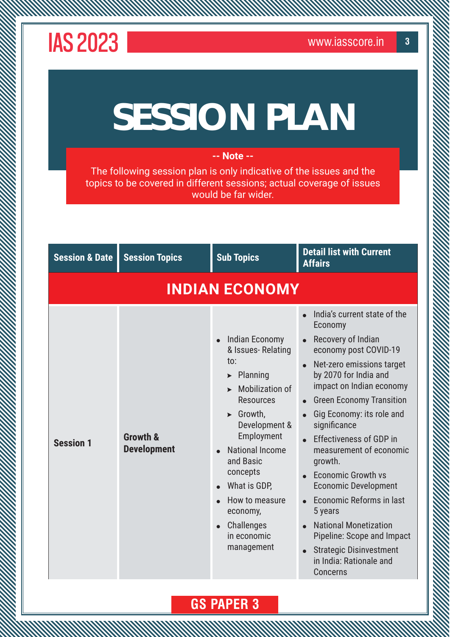## **SESSION PLAN**

#### **-- Note --**

The following session plan is only indicative of the issues and the topics to be covered in different sessions; actual coverage of issues would be far wider.

| <b>Session &amp; Date</b> | <b>Session Topics</b>          | <b>Sub Topics</b>                                                                                                                                                                                                                                                                                                                        | <b>Detail list with Current</b><br><b>Affairs</b>                                                                                                                                                                                                                                                                                                                                                                                                                                                                                                                          |
|---------------------------|--------------------------------|------------------------------------------------------------------------------------------------------------------------------------------------------------------------------------------------------------------------------------------------------------------------------------------------------------------------------------------|----------------------------------------------------------------------------------------------------------------------------------------------------------------------------------------------------------------------------------------------------------------------------------------------------------------------------------------------------------------------------------------------------------------------------------------------------------------------------------------------------------------------------------------------------------------------------|
|                           |                                | <b>INDIAN ECONOMY</b>                                                                                                                                                                                                                                                                                                                    |                                                                                                                                                                                                                                                                                                                                                                                                                                                                                                                                                                            |
| <b>Session 1</b>          | Growth &<br><b>Development</b> | <b>Indian Economy</b><br>& Issues-Relating<br>to:<br>$\blacktriangleright$ Planning<br><b>Mobilization of</b><br><b>Resources</b><br>$\triangleright$ Growth,<br>Development &<br>Employment<br><b>National Income</b><br>and Basic<br>concepts<br>What is GDP,<br>How to measure<br>economy,<br>Challenges<br>in economic<br>management | India's current state of the<br>Economy<br>Recovery of Indian<br>economy post COVID-19<br>Net-zero emissions target<br>by 2070 for India and<br>impact on Indian economy<br><b>Green Economy Transition</b><br>Gig Economy: its role and<br>significance<br><b>Effectiveness of GDP in</b><br>measurement of economic<br>growth.<br><b>Economic Growth vs</b><br><b>Economic Development</b><br>Economic Reforms in last<br>5 years<br><b>National Monetization</b><br>Pipeline: Scope and Impact<br><b>Strategic Disinvestment</b><br>in India: Rationale and<br>Concerns |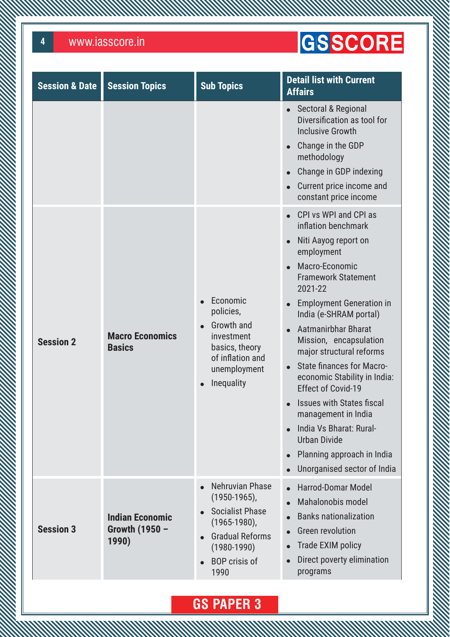**MANAMANA** 

### GSSCORE

| <b>Session &amp; Date</b> | <b>Session Topics</b>                             | <b>Sub Topics</b>                                                                                                                                            | <b>Detail list with Current</b><br><b>Affairs</b>                                                                                                                                                                                                                                                                                                                                                                                                                                                                                                                   |
|---------------------------|---------------------------------------------------|--------------------------------------------------------------------------------------------------------------------------------------------------------------|---------------------------------------------------------------------------------------------------------------------------------------------------------------------------------------------------------------------------------------------------------------------------------------------------------------------------------------------------------------------------------------------------------------------------------------------------------------------------------------------------------------------------------------------------------------------|
|                           |                                                   |                                                                                                                                                              | Sectoral & Regional<br>Diversification as tool for<br><b>Inclusive Growth</b><br>Change in the GDP<br>methodology<br>Change in GDP indexing<br>Current price income and<br>constant price income<br>CPI vs WPI and CPI as                                                                                                                                                                                                                                                                                                                                           |
| <b>Session 2</b>          | <b>Macro Economics</b><br><b>Basics</b>           | Economic<br>policies,<br>Growth and<br>investment<br>basics, theory<br>of inflation and<br>unemployment<br>Inequality                                        | inflation benchmark<br>Niti Aayog report on<br>employment<br>Macro-Economic<br><b>Framework Statement</b><br>2021-22<br><b>Employment Generation in</b><br>India (e-SHRAM portal)<br>Aatmanirbhar Bharat<br>$\bullet$<br>Mission, encapsulation<br>major structural reforms<br><b>State finances for Macro-</b><br>$\bullet$<br>economic Stability in India:<br><b>Effect of Covid-19</b><br><b>Issues with States fiscal</b><br>management in India<br>India Vs Bharat: Rural-<br><b>Urban Divide</b><br>Planning approach in India<br>Unorganised sector of India |
| <b>Session 3</b>          | <b>Indian Economic</b><br>Growth (1950 -<br>1990) | Nehruvian Phase<br>$(1950-1965)$ ,<br><b>Socialist Phase</b><br>$(1965-1980)$ ,<br><b>Gradual Reforms</b><br>$(1980 - 1990)$<br><b>BOP</b> crisis of<br>1990 | <b>Harrod-Domar Model</b><br>Mahalonobis model<br><b>Banks nationalization</b><br><b>Green revolution</b><br>Trade EXIM policy<br>Direct poverty elimination<br>programs                                                                                                                                                                                                                                                                                                                                                                                            |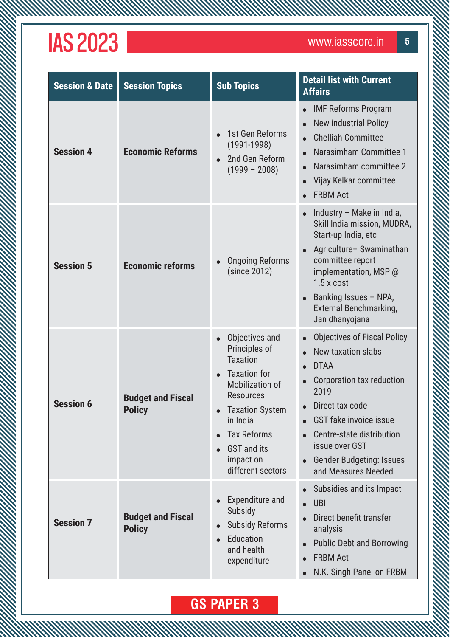WWW

| <b>Session &amp; Date</b> | <b>Session Topics</b>                     | <b>Sub Topics</b>                                                                                                                                                                                                                                        | <b>Detail list with Current</b><br><b>Affairs</b>                                                                                                                                                                                                                                      |
|---------------------------|-------------------------------------------|----------------------------------------------------------------------------------------------------------------------------------------------------------------------------------------------------------------------------------------------------------|----------------------------------------------------------------------------------------------------------------------------------------------------------------------------------------------------------------------------------------------------------------------------------------|
| <b>Session 4</b>          | <b>Economic Reforms</b>                   | 1st Gen Reforms<br>$(1991-1998)$<br>2nd Gen Reform<br>$(1999 - 2008)$                                                                                                                                                                                    | <b>IMF Reforms Program</b><br>$\bullet$<br><b>New industrial Policy</b><br><b>Chelliah Committee</b><br>Narasimham Committee 1<br>Narasimham committee 2<br>$\bullet$<br>Vijay Kelkar committee<br>$\bullet$<br><b>FRBM Act</b>                                                        |
| <b>Session 5</b>          | <b>Economic reforms</b>                   | <b>Ongoing Reforms</b><br>(since 2012)                                                                                                                                                                                                                   | Industry - Make in India,<br>$\bullet$<br>Skill India mission, MUDRA,<br>Start-up India, etc<br>Agriculture-Swaminathan<br>committee report<br>implementation, MSP @<br>$1.5x$ cost<br>Banking Issues - NPA,<br><b>External Benchmarking,</b><br>Jan dhanyojana                        |
| <b>Session 6</b>          | <b>Budget and Fiscal</b><br><b>Policy</b> | Objectives and<br>$\bullet$<br>Principles of<br><b>Taxation</b><br><b>Taxation for</b><br><b>Mobilization of</b><br><b>Resources</b><br><b>Taxation System</b><br>in India<br><b>Tax Reforms</b><br><b>GST</b> and its<br>impact on<br>different sectors | <b>Objectives of Fiscal Policy</b><br>New taxation slabs<br><b>DTAA</b><br>Corporation tax reduction<br>2019<br>Direct tax code<br><b>GST fake invoice issue</b><br>Centre-state distribution<br>$\bullet$<br>issue over GST<br><b>Gender Budgeting: Issues</b><br>and Measures Needed |
| <b>Session 7</b>          | <b>Budget and Fiscal</b><br><b>Policy</b> | Expenditure and<br>Subsidy<br><b>Subsidy Reforms</b><br>$\bullet$<br>Education<br>and health<br>expenditure                                                                                                                                              | Subsidies and its Impact<br><b>UBI</b><br>$\bullet$<br>Direct benefit transfer<br>analysis<br><b>Public Debt and Borrowing</b><br><b>FRBM Act</b><br>$\bullet$<br>N.K. Singh Panel on FRBM<br>$\bullet$                                                                                |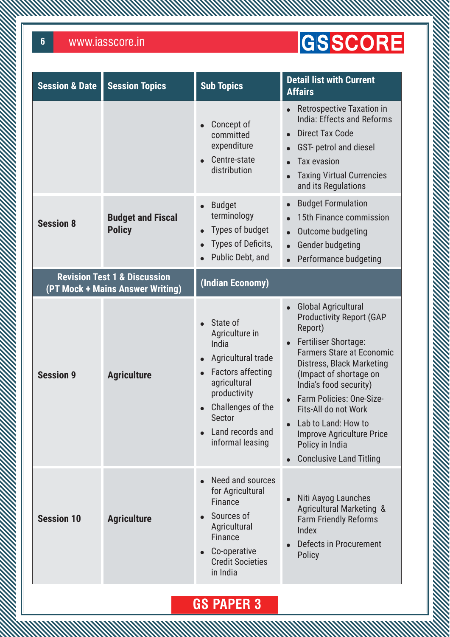**MMW** 

### GSSCORE

| <b>Session &amp; Date</b> | <b>Session Topics</b>                                                       | <b>Sub Topics</b>                                                                                                                                                                                                                          | <b>Detail list with Current</b><br><b>Affairs</b>                                                                                                                                                                                                                                                                                                                                         |
|---------------------------|-----------------------------------------------------------------------------|--------------------------------------------------------------------------------------------------------------------------------------------------------------------------------------------------------------------------------------------|-------------------------------------------------------------------------------------------------------------------------------------------------------------------------------------------------------------------------------------------------------------------------------------------------------------------------------------------------------------------------------------------|
|                           |                                                                             | Concept of<br>$\bullet$<br>committed<br>expenditure<br>Centre-state<br>$\bullet$<br>distribution                                                                                                                                           | <b>Retrospective Taxation in</b><br>India: Effects and Reforms<br><b>Direct Tax Code</b><br>GST- petrol and diesel<br><b>Tax evasion</b><br><b>Taxing Virtual Currencies</b><br>and its Regulations                                                                                                                                                                                       |
| <b>Session 8</b>          | <b>Budget and Fiscal</b><br><b>Policy</b>                                   | <b>Budget</b><br>$\bullet$<br>terminology<br>Types of budget<br>$\bullet$<br>Types of Deficits,<br>$\bullet$<br>Public Debt, and                                                                                                           | <b>Budget Formulation</b><br>15th Finance commission<br>Outcome budgeting<br>$\bullet$<br><b>Gender budgeting</b><br>$\bullet$<br>Performance budgeting                                                                                                                                                                                                                                   |
|                           | <b>Revision Test 1 &amp; Discussion</b><br>(PT Mock + Mains Answer Writing) | (Indian Economy)                                                                                                                                                                                                                           |                                                                                                                                                                                                                                                                                                                                                                                           |
| <b>Session 9</b>          | <b>Agriculture</b>                                                          | State of<br>Agriculture in<br>India<br>Agricultural trade<br>$\bullet$<br><b>Factors affecting</b><br>$\bullet$<br>agricultural<br>productivity<br>Challenges of the<br>$\bullet$<br><b>Sector</b><br>Land records and<br>informal leasing | <b>Global Agricultural</b><br><b>Productivity Report (GAP</b><br>Report)<br>Fertiliser Shortage:<br><b>Farmers Stare at Economic</b><br>Distress, Black Marketing<br>(Impact of shortage on<br>India's food security)<br>Farm Policies: One-Size-<br>Fits-All do not Work<br>Lab to Land: How to<br><b>Improve Agriculture Price</b><br>Policy in India<br><b>Conclusive Land Titling</b> |
| <b>Session 10</b>         | <b>Agriculture</b>                                                          | Need and sources<br>for Agricultural<br>Finance<br>Sources of<br>$\bullet$<br>Agricultural<br><b>Finance</b><br>Co-operative<br>$\bullet$<br><b>Credit Societies</b><br>in India                                                           | Niti Aayog Launches<br><b>Agricultural Marketing &amp;</b><br><b>Farm Friendly Reforms</b><br>Index<br>Defects in Procurement<br><b>Policy</b>                                                                                                                                                                                                                                            |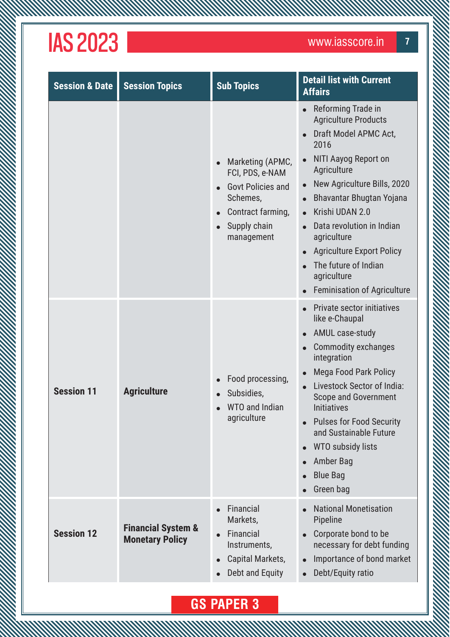**MANAMAN** 

| <b>Session &amp; Date</b> | <b>Session Topics</b>                                   | <b>Sub Topics</b>                                                                                                                                        | <b>Detail list with Current</b><br><b>Affairs</b>                                                                                                                                                                                                                                                                                                                            |
|---------------------------|---------------------------------------------------------|----------------------------------------------------------------------------------------------------------------------------------------------------------|------------------------------------------------------------------------------------------------------------------------------------------------------------------------------------------------------------------------------------------------------------------------------------------------------------------------------------------------------------------------------|
|                           |                                                         | Marketing (APMC,<br>FCI, PDS, e-NAM<br><b>Govt Policies and</b><br>Schemes,<br>Contract farming,<br>$\bullet$<br>Supply chain<br>$\bullet$<br>management | Reforming Trade in<br><b>Agriculture Products</b><br>Draft Model APMC Act,<br>2016<br>NITI Aayog Report on<br>Agriculture<br>New Agriculture Bills, 2020<br>Bhavantar Bhugtan Yojana<br>Krishi UDAN 2.0<br>Data revolution in Indian<br>agriculture<br><b>Agriculture Export Policy</b><br>The future of Indian<br>agriculture<br><b>Feminisation of Agriculture</b>         |
| <b>Session 11</b>         | <b>Agriculture</b>                                      | Food processing,<br>Subsidies,<br><b>WTO and Indian</b><br>agriculture                                                                                   | <b>Private sector initiatives</b><br>like e-Chaupal<br><b>AMUL case-study</b><br><b>Commodity exchanges</b><br>integration<br><b>Mega Food Park Policy</b><br>Livestock Sector of India:<br><b>Scope and Government</b><br><b>Initiatives</b><br><b>Pulses for Food Security</b><br>and Sustainable Future<br>WTO subsidy lists<br>Amber Bag<br><b>Blue Bag</b><br>Green bag |
| <b>Session 12</b>         | <b>Financial System &amp;</b><br><b>Monetary Policy</b> | Financial<br>$\bullet$<br>Markets,<br>Financial<br>$\bullet$<br>Instruments,<br>Capital Markets,<br>$\bullet$<br>Debt and Equity<br>$\bullet$            | <b>National Monetisation</b><br>Pipeline<br>Corporate bond to be<br>necessary for debt funding<br>Importance of bond market<br>Debt/Equity ratio                                                                                                                                                                                                                             |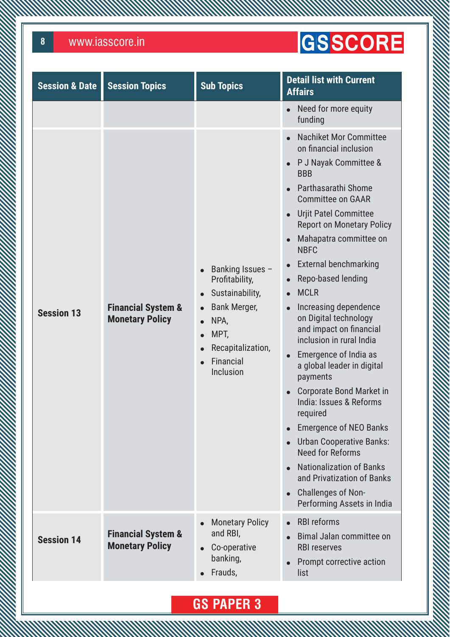**WWW** 

### GSSCORE

| <b>Session &amp; Date</b> | <b>Session Topics</b>                                   | <b>Sub Topics</b>                                                                                                                           | <b>Detail list with Current</b><br><b>Affairs</b>                                                                                                                                                                                                                                                                                                                                                                                                                                                                                                                                                                                                                                                                                                                                                             |
|---------------------------|---------------------------------------------------------|---------------------------------------------------------------------------------------------------------------------------------------------|---------------------------------------------------------------------------------------------------------------------------------------------------------------------------------------------------------------------------------------------------------------------------------------------------------------------------------------------------------------------------------------------------------------------------------------------------------------------------------------------------------------------------------------------------------------------------------------------------------------------------------------------------------------------------------------------------------------------------------------------------------------------------------------------------------------|
|                           |                                                         |                                                                                                                                             | Need for more equity<br>$\bullet$<br>funding                                                                                                                                                                                                                                                                                                                                                                                                                                                                                                                                                                                                                                                                                                                                                                  |
| <b>Session 13</b>         | <b>Financial System &amp;</b><br><b>Monetary Policy</b> | Banking Issues -<br>Profitability,<br>Sustainability,<br><b>Bank Merger,</b><br>NPA,<br>MPT,<br>Recapitalization,<br>Financial<br>Inclusion | <b>Nachiket Mor Committee</b><br>on financial inclusion<br>P J Nayak Committee &<br><b>BBB</b><br>Parthasarathi Shome<br><b>Committee on GAAR</b><br><b>Urjit Patel Committee</b><br><b>Report on Monetary Policy</b><br>Mahapatra committee on<br><b>NBFC</b><br><b>External benchmarking</b><br>Repo-based lending<br><b>MCLR</b><br>Increasing dependence<br>on Digital technology<br>and impact on financial<br>inclusion in rural India<br>Emergence of India as<br>a global leader in digital<br>payments<br><b>Corporate Bond Market in</b><br>India: Issues & Reforms<br>required<br><b>Emergence of NEO Banks</b><br><b>Urban Cooperative Banks:</b><br><b>Need for Reforms</b><br><b>Nationalization of Banks</b><br>and Privatization of Banks<br>Challenges of Non-<br>Performing Assets in India |
| <b>Session 14</b>         | <b>Financial System &amp;</b><br><b>Monetary Policy</b> | <b>Monetary Policy</b><br>$\bullet$<br>and RBI,<br>Co-operative<br>banking,<br>Frauds,                                                      | <b>RBI reforms</b><br>Bimal Jalan committee on<br><b>RBI reserves</b><br>Prompt corrective action<br>list                                                                                                                                                                                                                                                                                                                                                                                                                                                                                                                                                                                                                                                                                                     |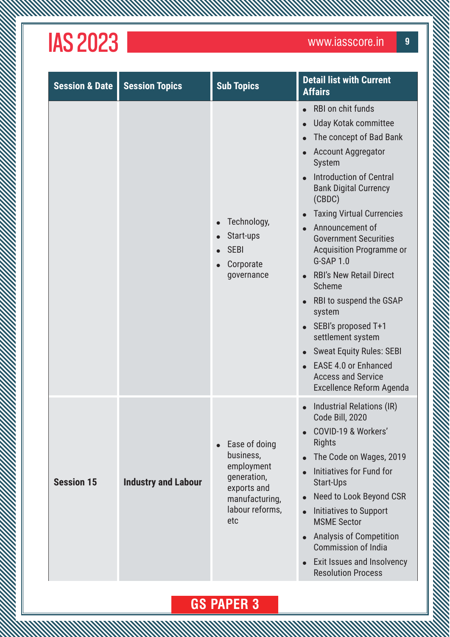**MANAMAN** 

| <b>Session &amp; Date</b> | <b>Session Topics</b>      | <b>Sub Topics</b>                                                                                                               | <b>Detail list with Current</b><br><b>Affairs</b>                                                                                                                                                                                                                                                                                                                                                                                                                                                                                                                                                    |
|---------------------------|----------------------------|---------------------------------------------------------------------------------------------------------------------------------|------------------------------------------------------------------------------------------------------------------------------------------------------------------------------------------------------------------------------------------------------------------------------------------------------------------------------------------------------------------------------------------------------------------------------------------------------------------------------------------------------------------------------------------------------------------------------------------------------|
|                           |                            | Technology,<br>Start-ups<br><b>SEBI</b><br>Corporate<br>$\bullet$<br>governance                                                 | RBI on chit funds<br><b>Uday Kotak committee</b><br>The concept of Bad Bank<br><b>Account Aggregator</b><br><b>System</b><br><b>Introduction of Central</b><br><b>Bank Digital Currency</b><br>(CBDC)<br><b>Taxing Virtual Currencies</b><br>Announcement of<br><b>Government Securities</b><br><b>Acquisition Programme or</b><br>G-SAP 1.0<br><b>RBI's New Retail Direct</b><br>Scheme<br>RBI to suspend the GSAP<br>system<br>SEBI's proposed T+1<br>settlement system<br><b>Sweat Equity Rules: SEBI</b><br><b>EASE 4.0 or Enhanced</b><br><b>Access and Service</b><br>Excellence Reform Agenda |
| <b>Session 15</b>         | <b>Industry and Labour</b> | Ease of doing<br>$\bullet$<br>business,<br>employment<br>generation,<br>exports and<br>manufacturing,<br>labour reforms,<br>etc | Industrial Relations (IR)<br>Code Bill, 2020<br>COVID-19 & Workers'<br><b>Rights</b><br>The Code on Wages, 2019<br>Initiatives for Fund for<br><b>Start-Ups</b><br>Need to Look Beyond CSR<br>Initiatives to Support<br><b>MSME Sector</b><br><b>Analysis of Competition</b><br><b>Commission of India</b><br>Exit Issues and Insolvency<br><b>Resolution Process</b>                                                                                                                                                                                                                                |

ANAMAN MANAMAN MANAMAN MANAMAN MANAMAN MANAMAN MANAMAN MANAMAN MANAMAN MANAMAN MANAMAN MANAMAN MANAMAN MANAMAN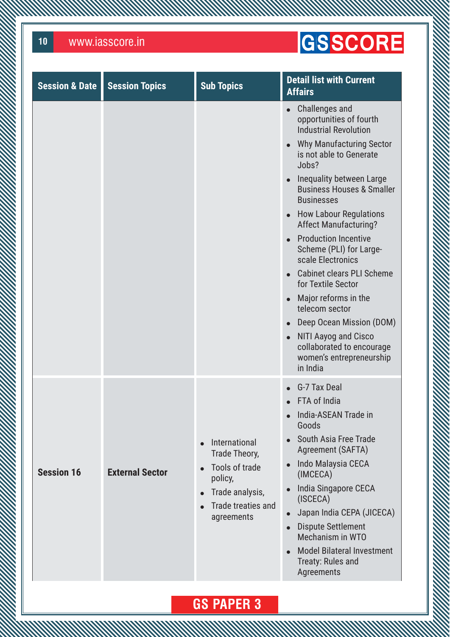**WWW** 

### GSSCORE

| <b>Session &amp; Date</b> | <b>Session Topics</b>  | <b>Sub Topics</b>                                                                                                  | <b>Detail list with Current</b><br><b>Affairs</b>                                                                                                                                                                                                                                                                                                                                                                                                                                                                                                                                                                                                                                                          |
|---------------------------|------------------------|--------------------------------------------------------------------------------------------------------------------|------------------------------------------------------------------------------------------------------------------------------------------------------------------------------------------------------------------------------------------------------------------------------------------------------------------------------------------------------------------------------------------------------------------------------------------------------------------------------------------------------------------------------------------------------------------------------------------------------------------------------------------------------------------------------------------------------------|
|                           |                        |                                                                                                                    | Challenges and<br>$\bullet$<br>opportunities of fourth<br><b>Industrial Revolution</b><br><b>Why Manufacturing Sector</b><br>is not able to Generate<br>Jobs?<br>Inequality between Large<br>$\bullet$<br><b>Business Houses &amp; Smaller</b><br><b>Businesses</b><br><b>How Labour Regulations</b><br>$\bullet$<br><b>Affect Manufacturing?</b><br><b>Production Incentive</b><br>$\bullet$<br>Scheme (PLI) for Large-<br>scale Electronics<br>Cabinet clears PLI Scheme<br>$\bullet$<br>for Textile Sector<br>Major reforms in the<br>$\bullet$<br>telecom sector<br>Deep Ocean Mission (DOM)<br>NITI Aayog and Cisco<br>$\bullet$<br>collaborated to encourage<br>women's entrepreneurship<br>in India |
| <b>Session 16</b>         | <b>External Sector</b> | International<br>Trade Theory,<br>Tools of trade<br>policy,<br>Trade analysis,<br>Trade treaties and<br>agreements | G-7 Tax Deal<br>FTA of India<br>India-ASEAN Trade in<br>Goods<br>South Asia Free Trade<br>Agreement (SAFTA)<br>Indo Malaysia CECA<br>$\bullet$<br>(IMCECA)<br>India Singapore CECA<br>$\bullet$<br>(ISCECA)<br>Japan India CEPA (JICECA)<br>$\bullet$<br><b>Dispute Settlement</b><br>$\bullet$<br>Mechanism in WTO<br><b>Model Bilateral Investment</b><br>Treaty: Rules and<br>Agreements                                                                                                                                                                                                                                                                                                                |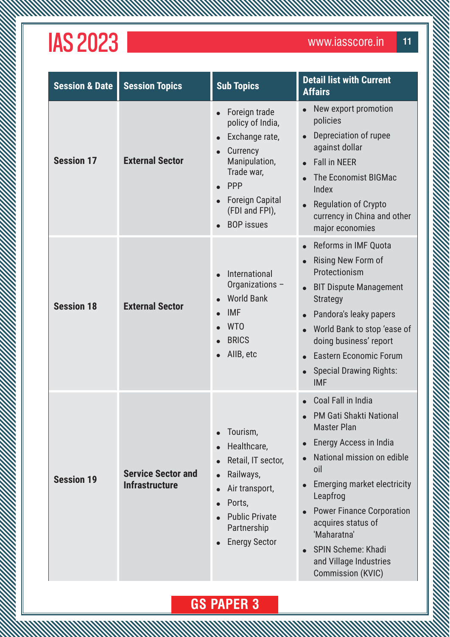**MANAMAN** 

| <b>Session &amp; Date</b> | <b>Session Topics</b>                              | <b>Sub Topics</b>                                                                                                                                                                                          | <b>Detail list with Current</b><br><b>Affairs</b>                                                                                                                                                                                                                                                                                                |
|---------------------------|----------------------------------------------------|------------------------------------------------------------------------------------------------------------------------------------------------------------------------------------------------------------|--------------------------------------------------------------------------------------------------------------------------------------------------------------------------------------------------------------------------------------------------------------------------------------------------------------------------------------------------|
| <b>Session 17</b>         | <b>External Sector</b>                             | Foreign trade<br>policy of India,<br>Exchange rate,<br>Currency<br>Manipulation,<br>Trade war,<br><b>PPP</b><br><b>Foreign Capital</b><br>(FDI and FPI),<br><b>BOP</b> issues                              | New export promotion<br>policies<br>Depreciation of rupee<br>against dollar<br><b>Fall in NEER</b><br>The Economist BIGMac<br>Index<br><b>Regulation of Crypto</b><br>currency in China and other<br>major economies                                                                                                                             |
| <b>Session 18</b>         | <b>External Sector</b>                             | International<br>$\bullet$<br>Organizations -<br><b>World Bank</b><br><b>IMF</b><br><b>WTO</b><br><b>BRICS</b><br>AllB, etc                                                                                | Reforms in IMF Quota<br>Rising New Form of<br>Protectionism<br><b>BIT Dispute Management</b><br><b>Strategy</b><br>Pandora's leaky papers<br>World Bank to stop 'ease of<br>doing business' report<br><b>Eastern Economic Forum</b><br><b>Special Drawing Rights:</b><br><b>IMF</b>                                                              |
| <b>Session 19</b>         | <b>Service Sector and</b><br><b>Infrastructure</b> | Tourism,<br>$\bullet$<br>Healthcare,<br>Retail, IT sector,<br>Railways,<br>$\bullet$<br>Air transport,<br>Ports,<br>$\bullet$<br><b>Public Private</b><br>Partnership<br><b>Energy Sector</b><br>$\bullet$ | Coal Fall in India<br><b>PM Gati Shakti National</b><br><b>Master Plan</b><br>Energy Access in India<br>National mission on edible<br>oil<br>Emerging market electricity<br>Leapfrog<br><b>Power Finance Corporation</b><br>acquires status of<br>'Maharatna'<br><b>SPIN Scheme: Khadi</b><br>and Village Industries<br><b>Commission (KVIC)</b> |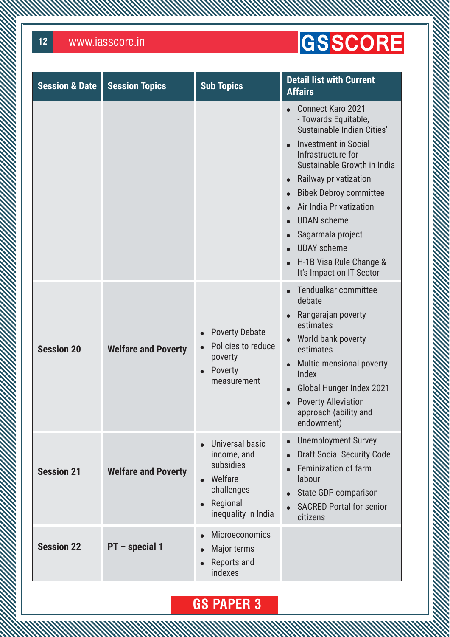**MANAMANA** 

### GSSCORE

| <b>Session &amp; Date</b> | <b>Session Topics</b>      | <b>Sub Topics</b>                                                                                                    | <b>Detail list with Current</b><br><b>Affairs</b>                                                                                                                                                                                                                                                                                                                               |
|---------------------------|----------------------------|----------------------------------------------------------------------------------------------------------------------|---------------------------------------------------------------------------------------------------------------------------------------------------------------------------------------------------------------------------------------------------------------------------------------------------------------------------------------------------------------------------------|
|                           |                            |                                                                                                                      | <b>Connect Karo 2021</b><br>- Towards Equitable,<br>Sustainable Indian Cities'<br><b>Investment in Social</b><br>Infrastructure for<br>Sustainable Growth in India<br>Railway privatization<br><b>Bibek Debroy committee</b><br>Air India Privatization<br><b>UDAN</b> scheme<br>Sagarmala project<br><b>UDAY</b> scheme<br>H-1B Visa Rule Change &<br>It's Impact on IT Sector |
| <b>Session 20</b>         | <b>Welfare and Poverty</b> | <b>Poverty Debate</b><br>Policies to reduce<br>poverty<br>Poverty<br>$\bullet$<br>measurement                        | Tendualkar committee<br>debate<br>Rangarajan poverty<br>estimates<br>World bank poverty<br>estimates<br><b>Multidimensional poverty</b><br>Index<br>Global Hunger Index 2021<br><b>Poverty Alleviation</b><br>approach (ability and<br>endowment)                                                                                                                               |
| <b>Session 21</b>         | <b>Welfare and Poverty</b> | Universal basic<br>income, and<br>subsidies<br>Welfare<br>challenges<br>Regional<br>$\bullet$<br>inequality in India | <b>Unemployment Survey</b><br><b>Draft Social Security Code</b><br>Feminization of farm<br>labour<br><b>State GDP comparison</b><br><b>SACRED Portal for senior</b><br>citizens                                                                                                                                                                                                 |
| <b>Session 22</b>         | PT - special 1             | <b>Microeconomics</b><br>$\bullet$<br>Major terms<br>Reports and<br>$\bullet$<br>indexes                             |                                                                                                                                                                                                                                                                                                                                                                                 |

AN MARKA MARKA MARKA MARKA MARKA MARKA MARKA MARKA MARKA MARKA MARKA MARKA MARKA MARKA MARKA MARKA MARKA MARKA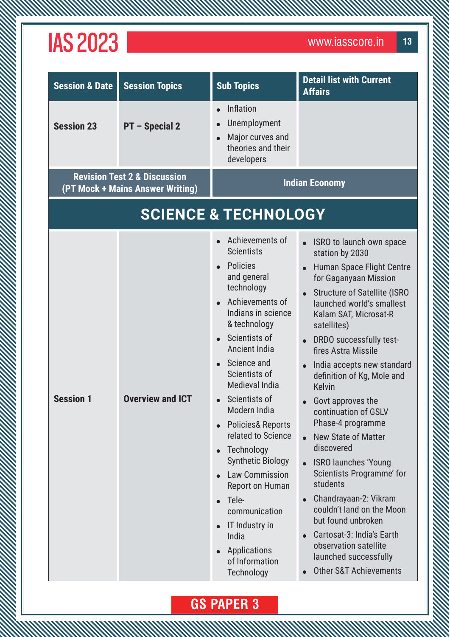| <b>Session &amp; Date</b> | <b>Session Topics</b>                                                       | <b>Sub Topics</b>                                                                                                                                                                                                                                                                                                                                                                                                                                                                                                                                                        | <b>Detail list with Current</b><br><b>Affairs</b>                                                                                                                                                                                                                                                                                                                                                                                                                                                                                                                                                                                                                                                                                     |
|---------------------------|-----------------------------------------------------------------------------|--------------------------------------------------------------------------------------------------------------------------------------------------------------------------------------------------------------------------------------------------------------------------------------------------------------------------------------------------------------------------------------------------------------------------------------------------------------------------------------------------------------------------------------------------------------------------|---------------------------------------------------------------------------------------------------------------------------------------------------------------------------------------------------------------------------------------------------------------------------------------------------------------------------------------------------------------------------------------------------------------------------------------------------------------------------------------------------------------------------------------------------------------------------------------------------------------------------------------------------------------------------------------------------------------------------------------|
| <b>Session 23</b>         | PT - Special 2                                                              | Inflation<br>Unemployment<br>Major curves and<br>theories and their<br>developers                                                                                                                                                                                                                                                                                                                                                                                                                                                                                        |                                                                                                                                                                                                                                                                                                                                                                                                                                                                                                                                                                                                                                                                                                                                       |
|                           | <b>Revision Test 2 &amp; Discussion</b><br>(PT Mock + Mains Answer Writing) |                                                                                                                                                                                                                                                                                                                                                                                                                                                                                                                                                                          | <b>Indian Economy</b>                                                                                                                                                                                                                                                                                                                                                                                                                                                                                                                                                                                                                                                                                                                 |
|                           |                                                                             | <b>SCIENCE &amp; TECHNOLOGY</b>                                                                                                                                                                                                                                                                                                                                                                                                                                                                                                                                          |                                                                                                                                                                                                                                                                                                                                                                                                                                                                                                                                                                                                                                                                                                                                       |
| <b>Session 1</b>          | <b>Overview and ICT</b>                                                     | Achievements of<br><b>Scientists</b><br><b>Policies</b><br>and general<br>technology<br>Achievements of<br>Indians in science<br>& technology<br>Scientists of<br><b>Ancient India</b><br>Science and<br>Scientists of<br>Medieval India<br>Scientists of<br>Modern India<br><b>Policies&amp; Reports</b><br>$\bullet$<br>related to Science<br>Technology<br><b>Synthetic Biology</b><br><b>Law Commission</b><br><b>Report on Human</b><br>Tele-<br>$\bullet$<br>communication<br>IT Industry in<br>$\bullet$<br>India<br>Applications<br>of Information<br>Technology | ISRO to launch own space<br>station by 2030<br>Human Space Flight Centre<br>for Gaganyaan Mission<br><b>Structure of Satellite (ISRO</b><br>launched world's smallest<br>Kalam SAT, Microsat-R<br>satellites)<br>DRDO successfully test-<br>fires Astra Missile<br>India accepts new standard<br>definition of Kg, Mole and<br><b>Kelvin</b><br>$\bullet$ Govt approves the<br>continuation of GSLV<br>Phase-4 programme<br>New State of Matter<br>discovered<br><b>ISRO launches 'Young</b><br>Scientists Programme' for<br>students<br>Chandrayaan-2: Vikram<br>couldn't land on the Moon<br>but found unbroken<br>Cartosat-3: India's Earth<br>observation satellite<br>launched successfully<br><b>Other S&amp;T Achievements</b> |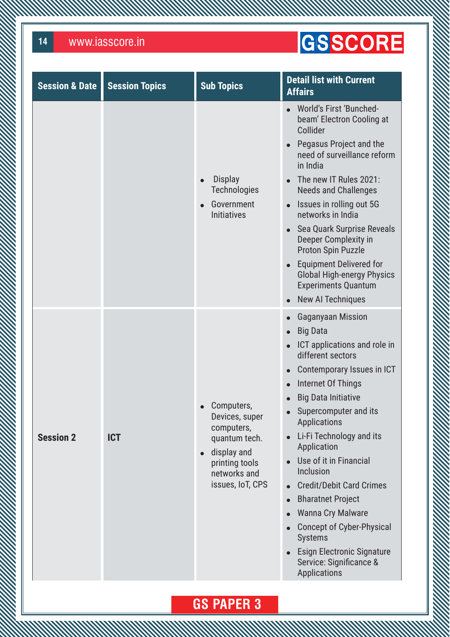**MMW** 

### GSSCORE

| <b>Session &amp; Date</b> | <b>Session Topics</b> | <b>Sub Topics</b>                                                                                                                | <b>Detail list with Current</b><br><b>Affairs</b>                                                                                                                                                                                                                                                                                                                                                                                                                                                                                                                                                                                                                    |
|---------------------------|-----------------------|----------------------------------------------------------------------------------------------------------------------------------|----------------------------------------------------------------------------------------------------------------------------------------------------------------------------------------------------------------------------------------------------------------------------------------------------------------------------------------------------------------------------------------------------------------------------------------------------------------------------------------------------------------------------------------------------------------------------------------------------------------------------------------------------------------------|
|                           |                       | <b>Display</b><br><b>Technologies</b><br>Government<br><b>Initiatives</b>                                                        | World's First 'Bunched-<br>$\bullet$<br>beam' Electron Cooling at<br>Collider<br>Pegasus Project and the<br>$\bullet$<br>need of surveillance reform<br>in India<br>The new IT Rules 2021:<br><b>Needs and Challenges</b><br>Issues in rolling out 5G<br>$\bullet$<br>networks in India<br>Sea Quark Surprise Reveals<br>$\bullet$<br>Deeper Complexity in<br><b>Proton Spin Puzzle</b><br><b>Equipment Delivered for</b><br>$\bullet$<br><b>Global High-energy Physics</b><br><b>Experiments Quantum</b><br>New AI Techniques                                                                                                                                       |
| <b>Session 2</b>          | <b>ICT</b>            | Computers,<br>Devices, super<br>computers,<br>quantum tech.<br>display and<br>printing tools<br>networks and<br>issues, IoT, CPS | <b>Gaganyaan Mission</b><br>$\bullet$<br><b>Big Data</b><br><b>ICT</b> applications and role in<br>$\bullet$<br>different sectors<br>Contemporary Issues in ICT<br>$\bullet$<br>Internet Of Things<br><b>Big Data Initiative</b><br>Supercomputer and its<br><b>Applications</b><br>Li-Fi Technology and its<br>$\bullet$<br>Application<br>Use of it in Financial<br>Inclusion<br><b>Credit/Debit Card Crimes</b><br>$\bullet$<br><b>Bharatnet Project</b><br>$\bullet$<br><b>Wanna Cry Malware</b><br>$\bullet$<br>Concept of Cyber-Physical<br>$\bullet$<br><b>Systems</b><br><b>Esign Electronic Signature</b><br>Service: Significance &<br><b>Applications</b> |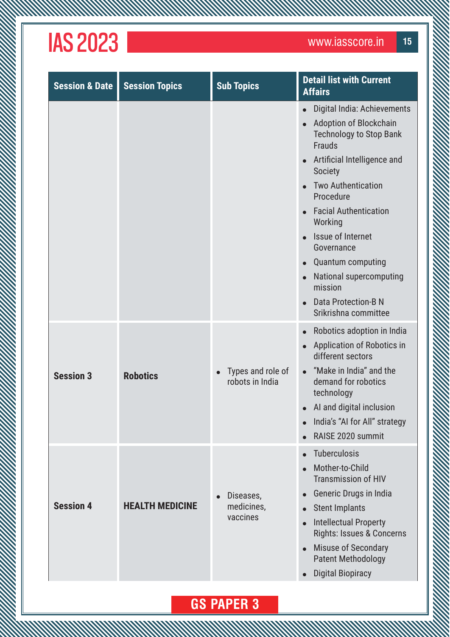**MW** 

| <b>Session &amp; Date</b> | <b>Session Topics</b>  | <b>Sub Topics</b>                    | <b>Detail list with Current</b><br><b>Affairs</b>                                                                                                                                                                                                                                                                                                                                                                            |
|---------------------------|------------------------|--------------------------------------|------------------------------------------------------------------------------------------------------------------------------------------------------------------------------------------------------------------------------------------------------------------------------------------------------------------------------------------------------------------------------------------------------------------------------|
|                           |                        |                                      | Digital India: Achievements<br>$\bullet$<br>Adoption of Blockchain<br><b>Technology to Stop Bank</b><br><b>Frauds</b><br>Artificial Intelligence and<br><b>Society</b><br><b>Two Authentication</b><br>Procedure<br><b>Facial Authentication</b><br>Working<br>Issue of Internet<br>Governance<br><b>Quantum computing</b><br>National supercomputing<br>$\bullet$<br>mission<br>Data Protection-B N<br>Srikrishna committee |
| <b>Session 3</b>          | <b>Robotics</b>        | Types and role of<br>robots in India | Robotics adoption in India<br>$\bullet$<br>Application of Robotics in<br>different sectors<br>• "Make in India" and the<br>demand for robotics<br>technology<br>• Al and digital inclusion<br>India's "AI for All" strategy<br>$\bullet$<br>RAISE 2020 summit                                                                                                                                                                |
| <b>Session 4</b>          | <b>HEALTH MEDICINE</b> | Diseases,<br>medicines,<br>vaccines  | Tuberculosis<br>Mother-to-Child<br><b>Transmission of HIV</b><br>Generic Drugs in India<br><b>Stent Implants</b><br><b>Intellectual Property</b><br>Rights: Issues & Concerns<br><b>Misuse of Secondary</b><br><b>Patent Methodology</b><br><b>Digital Biopiracy</b>                                                                                                                                                         |

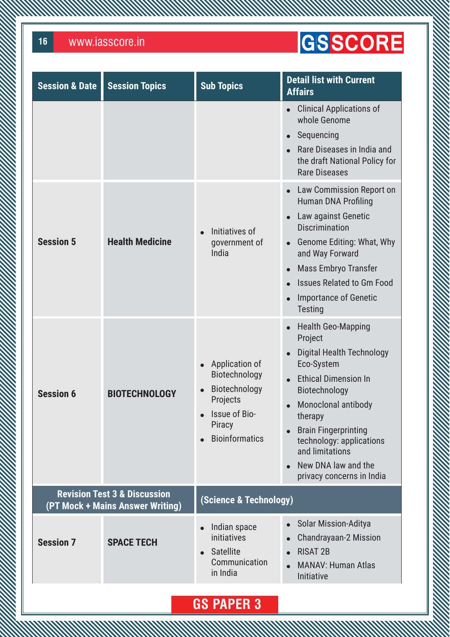**MMW** 

### GSSCORE

| <b>Session &amp; Date</b> | <b>Session Topics</b>                                                       | <b>Sub Topics</b>                                                                                                | <b>Detail list with Current</b><br><b>Affairs</b>                                                                                                                                                                                                                                                                       |
|---------------------------|-----------------------------------------------------------------------------|------------------------------------------------------------------------------------------------------------------|-------------------------------------------------------------------------------------------------------------------------------------------------------------------------------------------------------------------------------------------------------------------------------------------------------------------------|
|                           |                                                                             |                                                                                                                  | <b>Clinical Applications of</b><br>$\bullet$<br>whole Genome<br>Sequencing<br>Rare Diseases in India and<br>the draft National Policy for<br><b>Rare Diseases</b>                                                                                                                                                       |
| <b>Session 5</b>          | <b>Health Medicine</b>                                                      | Initiatives of<br>government of<br>India                                                                         | Law Commission Report on<br><b>Human DNA Profiling</b><br>Law against Genetic<br><b>Discrimination</b><br>Genome Editing: What, Why<br>and Way Forward<br>Mass Embryo Transfer<br><b>Issues Related to Gm Food</b><br><b>Importance of Genetic</b><br><b>Testing</b>                                                    |
| <b>Session 6</b>          | <b>BIOTECHNOLOGY</b>                                                        | Application of<br>Biotechnology<br>Biotechnology<br>Projects<br>Issue of Bio-<br>Piracy<br><b>Bioinformatics</b> | <b>Health Geo-Mapping</b><br>$\bullet$<br>Project<br><b>Digital Health Technology</b><br>Eco-System<br><b>Ethical Dimension In</b><br>Biotechnology<br>Monoclonal antibody<br>therapy<br><b>Brain Fingerprinting</b><br>technology: applications<br>and limitations<br>New DNA law and the<br>privacy concerns in India |
|                           | <b>Revision Test 3 &amp; Discussion</b><br>(PT Mock + Mains Answer Writing) | (Science & Technology)                                                                                           |                                                                                                                                                                                                                                                                                                                         |
| <b>Session 7</b>          | <b>SPACE TECH</b>                                                           | Indian space<br>initiatives<br><b>Satellite</b><br>Communication<br>in India                                     | <b>Solar Mission-Aditya</b><br>$\bullet$<br><b>Chandrayaan-2 Mission</b><br><b>RISAT 2B</b><br><b>MANAV: Human Atlas</b><br>Initiative                                                                                                                                                                                  |
|                           |                                                                             |                                                                                                                  |                                                                                                                                                                                                                                                                                                                         |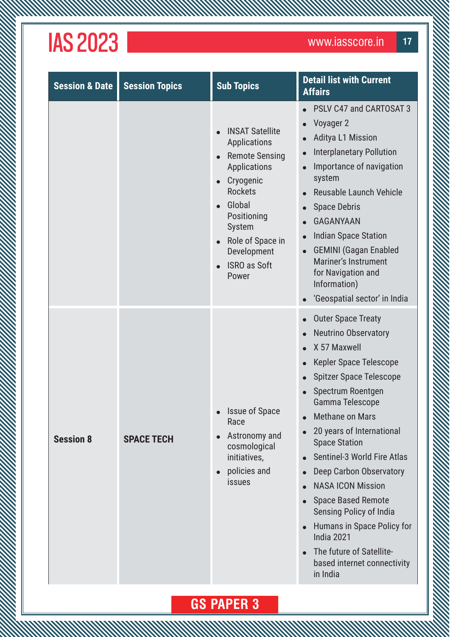**MW** 

| <b>Session &amp; Date</b> | <b>Session Topics</b> | <b>Sub Topics</b>                                                                                                                                                                                                                                                                      | <b>Detail list with Current</b><br><b>Affairs</b>                                                                                                                                                                                                                                                                                                                                                                                                                                                                                                                    |
|---------------------------|-----------------------|----------------------------------------------------------------------------------------------------------------------------------------------------------------------------------------------------------------------------------------------------------------------------------------|----------------------------------------------------------------------------------------------------------------------------------------------------------------------------------------------------------------------------------------------------------------------------------------------------------------------------------------------------------------------------------------------------------------------------------------------------------------------------------------------------------------------------------------------------------------------|
|                           |                       | <b>INSAT Satellite</b><br>$\bullet$<br><b>Applications</b><br><b>Remote Sensing</b><br>$\bullet$<br><b>Applications</b><br>Cryogenic<br><b>Rockets</b><br>Global<br>$\bullet$<br>Positioning<br>System<br>Role of Space in<br>$\bullet$<br>Development<br><b>ISRO as Soft</b><br>Power | <b>PSLV C47 and CARTOSAT 3</b><br>Voyager 2<br><b>Aditya L1 Mission</b><br><b>Interplanetary Pollution</b><br>Importance of navigation<br>system<br>Reusable Launch Vehicle<br><b>Space Debris</b><br><b>GAGANYAAN</b><br><b>Indian Space Station</b><br><b>GEMINI</b> (Gagan Enabled<br>$\bullet$<br><b>Mariner's Instrument</b><br>for Navigation and<br>Information)<br>'Geospatial sector' in India                                                                                                                                                              |
| <b>Session 8</b>          | <b>SPACE TECH</b>     | <b>Issue of Space</b><br>Race<br>Astronomy and<br>$\bullet$<br>cosmological<br>initiatives,<br>policies and<br>$\bullet$<br><i>issues</i>                                                                                                                                              | <b>Outer Space Treaty</b><br>$\bullet$<br><b>Neutrino Observatory</b><br>X 57 Maxwell<br>Kepler Space Telescope<br><b>Spitzer Space Telescope</b><br>Spectrum Roentgen<br>Gamma Telescope<br><b>Methane on Mars</b><br>20 years of International<br><b>Space Station</b><br>Sentinel-3 World Fire Atlas<br>Deep Carbon Observatory<br><b>NASA ICON Mission</b><br><b>Space Based Remote</b><br><b>Sensing Policy of India</b><br>Humans in Space Policy for<br>$\bullet$<br><b>India 2021</b><br>The future of Satellite-<br>based internet connectivity<br>in India |

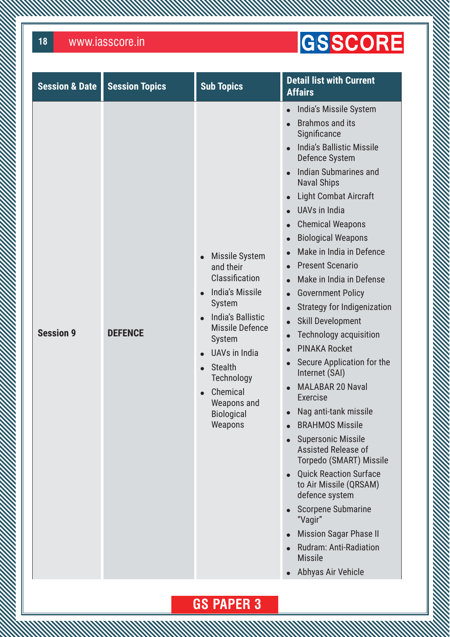**MANA** 

### GSSCORE

| <b>Session &amp; Date</b> | <b>Session Topics</b> | <b>Sub Topics</b>                                                                                                                                                                                                                                             | <b>Detail list with Current</b><br><b>Affairs</b>                                                                                                                                                                                                                                                                                                                                                                                                                                                                                                                                                                                                                                                                                                                                                                                                                                                                                                                                                                                                                                               |
|---------------------------|-----------------------|---------------------------------------------------------------------------------------------------------------------------------------------------------------------------------------------------------------------------------------------------------------|-------------------------------------------------------------------------------------------------------------------------------------------------------------------------------------------------------------------------------------------------------------------------------------------------------------------------------------------------------------------------------------------------------------------------------------------------------------------------------------------------------------------------------------------------------------------------------------------------------------------------------------------------------------------------------------------------------------------------------------------------------------------------------------------------------------------------------------------------------------------------------------------------------------------------------------------------------------------------------------------------------------------------------------------------------------------------------------------------|
| <b>Session 9</b>          | <b>DEFENCE</b>        | <b>Missile System</b><br>and their<br>Classification<br><b>India's Missile</b><br>System<br><b>India's Ballistic</b><br><b>Missile Defence</b><br>System<br>UAVs in India<br><b>Stealth</b><br>Technology<br>Chemical<br>Weapons and<br>Biological<br>Weapons | India's Missile System<br><b>Brahmos and its</b><br>Significance<br><b>India's Ballistic Missile</b><br><b>Defence System</b><br><b>Indian Submarines and</b><br><b>Naval Ships</b><br><b>Light Combat Aircraft</b><br>UAV <sub>s</sub> in India<br><b>Chemical Weapons</b><br><b>Biological Weapons</b><br>$\bullet$<br>Make in India in Defence<br><b>Present Scenario</b><br>$\bullet$<br>Make in India in Defense<br><b>Government Policy</b><br>$\bullet$<br><b>Strategy for Indigenization</b><br><b>Skill Development</b><br>$\bullet$<br><b>Technology acquisition</b><br>$\bullet$<br><b>PINAKA Rocket</b><br>Secure Application for the<br>Internet (SAI)<br><b>MALABAR 20 Naval</b><br><b>Exercise</b><br>Nag anti-tank missile<br><b>BRAHMOS Missile</b><br><b>Supersonic Missile</b><br>Assisted Release of<br>Torpedo (SMART) Missile<br><b>Quick Reaction Surface</b><br>to Air Missile (QRSAM)<br>defence system<br><b>Scorpene Submarine</b><br>"Vagir"<br><b>Mission Sagar Phase II</b><br>$\bullet$<br><b>Rudram: Anti-Radiation</b><br><b>Missile</b><br>Abhyas Air Vehicle |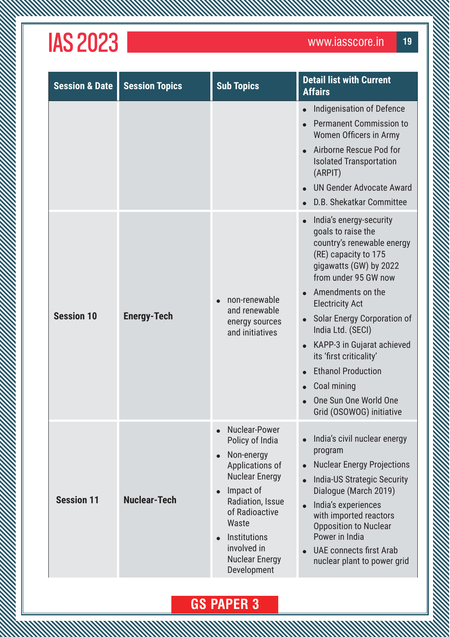**MANAMAN** 

| <b>Session &amp; Date</b> | <b>Session Topics</b> | <b>Sub Topics</b>                                                                                                                                                                                                                                                                        | <b>Detail list with Current</b><br><b>Affairs</b>                                                                                                                                                                                                                                                                                                                                                                  |
|---------------------------|-----------------------|------------------------------------------------------------------------------------------------------------------------------------------------------------------------------------------------------------------------------------------------------------------------------------------|--------------------------------------------------------------------------------------------------------------------------------------------------------------------------------------------------------------------------------------------------------------------------------------------------------------------------------------------------------------------------------------------------------------------|
|                           |                       |                                                                                                                                                                                                                                                                                          | Indigenisation of Defence<br><b>Permanent Commission to</b><br>Women Officers in Army<br>Airborne Rescue Pod for<br><b>Isolated Transportation</b><br>(ARPIT)<br><b>UN Gender Advocate Award</b><br>D.B. Shekatkar Committee                                                                                                                                                                                       |
| <b>Session 10</b>         | <b>Energy-Tech</b>    | non-renewable<br>and renewable<br>energy sources<br>and initiatives                                                                                                                                                                                                                      | India's energy-security<br>goals to raise the<br>country's renewable energy<br>(RE) capacity to 175<br>gigawatts (GW) by 2022<br>from under 95 GW now<br>Amendments on the<br><b>Electricity Act</b><br>Solar Energy Corporation of<br>India Ltd. (SECI)<br>KAPP-3 in Gujarat achieved<br>its 'first criticality'<br><b>Ethanol Production</b><br>Coal mining<br>One Sun One World One<br>Grid (OSOWOG) initiative |
| <b>Session 11</b>         | <b>Nuclear-Tech</b>   | Nuclear-Power<br>$\bullet$<br>Policy of India<br>Non-energy<br>$\bullet$<br>Applications of<br><b>Nuclear Energy</b><br>Impact of<br>$\bullet$<br>Radiation, Issue<br>of Radioactive<br>Waste<br><b>Institutions</b><br>$\bullet$<br>involved in<br><b>Nuclear Energy</b><br>Development | India's civil nuclear energy<br>program<br><b>Nuclear Energy Projections</b><br><b>India-US Strategic Security</b><br>Dialogue (March 2019)<br>India's experiences<br>with imported reactors<br><b>Opposition to Nuclear</b><br>Power in India<br><b>UAE connects first Arab</b><br>nuclear plant to power grid                                                                                                    |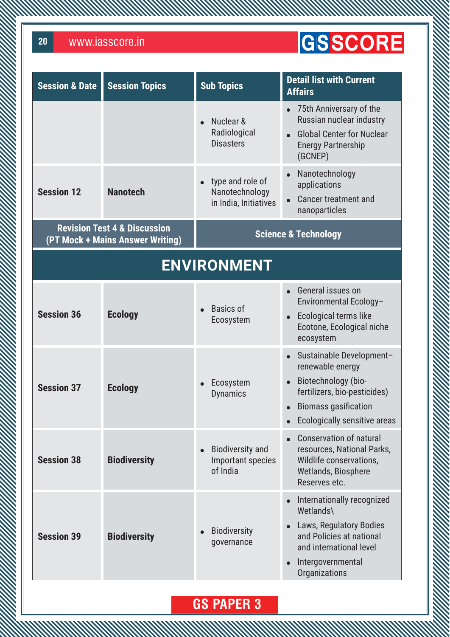**MMW** 

### GSSCORE

| <b>Session &amp; Date</b> | <b>Session Topics</b>                                                       | <b>Sub Topics</b>                                           | <b>Detail list with Current</b><br><b>Affairs</b>                                                                                                                      |
|---------------------------|-----------------------------------------------------------------------------|-------------------------------------------------------------|------------------------------------------------------------------------------------------------------------------------------------------------------------------------|
|                           |                                                                             | Nuclear &<br>Radiological<br><b>Disasters</b>               | 75th Anniversary of the<br>Russian nuclear industry<br><b>Global Center for Nuclear</b><br><b>Energy Partnership</b><br>(GCNEP)                                        |
| <b>Session 12</b>         | <b>Nanotech</b>                                                             | type and role of<br>Nanotechnology<br>in India, Initiatives | Nanotechnology<br>applications<br><b>Cancer treatment and</b><br>$\bullet$<br>nanoparticles                                                                            |
|                           | <b>Revision Test 4 &amp; Discussion</b><br>(PT Mock + Mains Answer Writing) |                                                             | <b>Science &amp; Technology</b>                                                                                                                                        |
|                           |                                                                             | <b>ENVIRONMENT</b>                                          |                                                                                                                                                                        |
| <b>Session 36</b>         | <b>Ecology</b>                                                              | <b>Basics of</b><br>Ecosystem                               | • General issues on<br>Environmental Ecology-<br>Ecological terms like<br>$\bullet$<br>Ecotone, Ecological niche<br>ecosystem                                          |
| <b>Session 37</b>         | <b>Ecology</b>                                                              | Ecosystem<br><b>Dynamics</b>                                | Sustainable Development-<br>renewable energy<br>Biotechnology (bio-<br>fertilizers, bio-pesticides)<br><b>Biomass gasification</b><br>Ecologically sensitive areas     |
| <b>Session 38</b>         | <b>Biodiversity</b>                                                         | <b>Biodiversity and</b><br>Important species<br>of India    | <b>Conservation of natural</b><br>resources, National Parks,<br>Wildlife conservations,<br>Wetlands, Biosphere<br>Reserves etc.                                        |
| <b>Session 39</b>         | <b>Biodiversity</b>                                                         | <b>Biodiversity</b><br>governance                           | Internationally recognized<br>Wetlands\<br><b>Laws, Regulatory Bodies</b><br>and Policies at national<br>and international level<br>Intergovernmental<br>Organizations |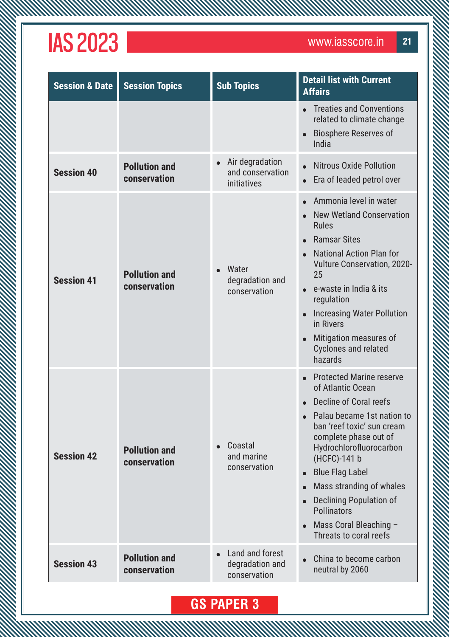*MMMMWW* 

| <b>Session &amp; Date</b> | <b>Session Topics</b>                | <b>Sub Topics</b>                                               | <b>Detail list with Current</b><br><b>Affairs</b>                                                                                                                                                                                                                                                                                                                                  |
|---------------------------|--------------------------------------|-----------------------------------------------------------------|------------------------------------------------------------------------------------------------------------------------------------------------------------------------------------------------------------------------------------------------------------------------------------------------------------------------------------------------------------------------------------|
|                           |                                      |                                                                 | <b>Treaties and Conventions</b><br>related to climate change<br><b>Biosphere Reserves of</b><br>India                                                                                                                                                                                                                                                                              |
| <b>Session 40</b>         | <b>Pollution and</b><br>conservation | Air degradation<br>$\bullet$<br>and conservation<br>initiatives | <b>Nitrous Oxide Pollution</b><br>Era of leaded petrol over                                                                                                                                                                                                                                                                                                                        |
| <b>Session 41</b>         | <b>Pollution and</b><br>conservation | Water<br>degradation and<br>conservation                        | Ammonia level in water<br><b>New Wetland Conservation</b><br><b>Rules</b><br><b>Ramsar Sites</b><br><b>National Action Plan for</b><br><b>Vulture Conservation, 2020-</b><br>25<br>e-waste in India & its<br>regulation<br><b>Increasing Water Pollution</b><br>in Rivers<br>Mitigation measures of<br><b>Cyclones and related</b><br>hazards                                      |
| <b>Session 42</b>         | <b>Pollution and</b><br>conservation | Coastal<br>and marine<br>conservation                           | <b>Protected Marine reserve</b><br>of Atlantic Ocean<br>Decline of Coral reefs<br>• Palau became 1st nation to<br>ban 'reef toxic' sun cream<br>complete phase out of<br>Hydrochlorofluorocarbon<br>(HCFC)-141 b<br><b>Blue Flag Label</b><br>Mass stranding of whales<br><b>Declining Population of</b><br><b>Pollinators</b><br>Mass Coral Bleaching -<br>Threats to coral reefs |
| <b>Session 43</b>         | <b>Pollution and</b><br>conservation | Land and forest<br>degradation and<br>conservation              | China to become carbon<br>neutral by 2060                                                                                                                                                                                                                                                                                                                                          |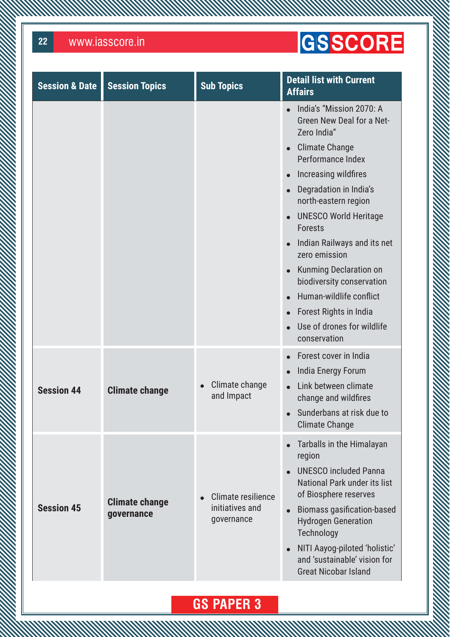### GSSCORE

| <b>Session &amp; Date</b> | <b>Session Topics</b>               | <b>Sub Topics</b>                                   | <b>Detail list with Current</b><br><b>Affairs</b>                                                                                                                                                                                                                                                                                                                                                                                                                                  |
|---------------------------|-------------------------------------|-----------------------------------------------------|------------------------------------------------------------------------------------------------------------------------------------------------------------------------------------------------------------------------------------------------------------------------------------------------------------------------------------------------------------------------------------------------------------------------------------------------------------------------------------|
|                           |                                     |                                                     | India's "Mission 2070: A<br>Green New Deal for a Net-<br>Zero India"<br><b>Climate Change</b><br>$\bullet$<br>Performance Index<br>Increasing wildfires<br>$\bullet$<br>Degradation in India's<br>north-eastern region<br><b>UNESCO World Heritage</b><br><b>Forests</b><br>Indian Railways and its net<br>zero emission<br>Kunming Declaration on<br>biodiversity conservation<br>Human-wildlife conflict<br>Forest Rights in India<br>Use of drones for wildlife<br>conservation |
| <b>Session 44</b>         | <b>Climate change</b>               | Climate change<br>and Impact                        | Forest cover in India<br>India Energy Forum<br>Link between climate<br>change and wildfires<br>Sunderbans at risk due to<br><b>Climate Change</b>                                                                                                                                                                                                                                                                                                                                  |
| <b>Session 45</b>         | <b>Climate change</b><br>governance | Climate resilience<br>initiatives and<br>governance | Tarballs in the Himalayan<br>$\bullet$<br>region<br><b>UNESCO included Panna</b><br>National Park under its list<br>of Biosphere reserves<br><b>Biomass gasification-based</b><br><b>Hydrogen Generation</b><br>Technology<br>NITI Aayog-piloted 'holistic'<br>and 'sustainable' vision for<br><b>Great Nicobar Island</b>                                                                                                                                                         |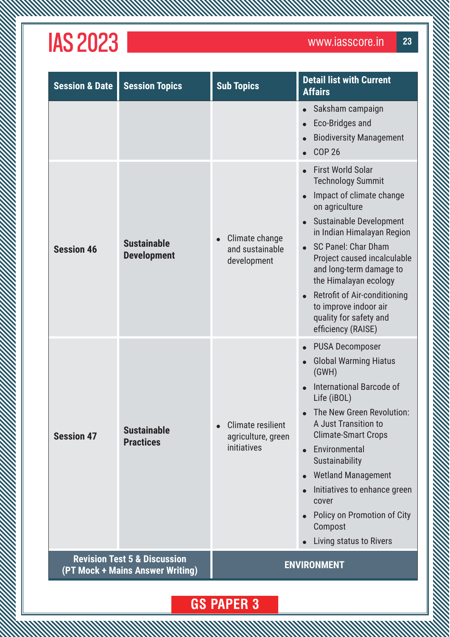**WWW** 

| <b>Session &amp; Date</b>                                                   | <b>Session Topics</b>                    | <b>Sub Topics</b>                                             | <b>Detail list with Current</b><br><b>Affairs</b>                                                                                                                                                                                                                                                                                                                                                                  |
|-----------------------------------------------------------------------------|------------------------------------------|---------------------------------------------------------------|--------------------------------------------------------------------------------------------------------------------------------------------------------------------------------------------------------------------------------------------------------------------------------------------------------------------------------------------------------------------------------------------------------------------|
|                                                                             |                                          |                                                               | Saksham campaign<br><b>Eco-Bridges and</b><br><b>Biodiversity Management</b><br><b>COP 26</b>                                                                                                                                                                                                                                                                                                                      |
| <b>Session 46</b>                                                           | <b>Sustainable</b><br><b>Development</b> | Climate change<br>and sustainable<br>development              | <b>First World Solar</b><br><b>Technology Summit</b><br>Impact of climate change<br>on agriculture<br>Sustainable Development<br>in Indian Himalayan Region<br>SC Panel: Char Dham<br>$\bullet$<br>Project caused incalculable<br>and long-term damage to<br>the Himalayan ecology<br>Retrofit of Air-conditioning<br>to improve indoor air<br>quality for safety and<br>efficiency (RAISE)                        |
| <b>Session 47</b>                                                           | <b>Sustainable</b><br><b>Practices</b>   | <b>Climate resilient</b><br>agriculture, green<br>initiatives | <b>PUSA Decomposer</b><br><b>Global Warming Hiatus</b><br>(GWH)<br>International Barcode of<br>$\bullet$<br>Life (iBOL)<br>The New Green Revolution:<br>A Just Transition to<br><b>Climate-Smart Crops</b><br>Environmental<br>$\bullet$<br>Sustainability<br><b>Wetland Management</b><br>$\bullet$<br>Initiatives to enhance green<br>cover<br>Policy on Promotion of City<br>Compost<br>Living status to Rivers |
| <b>Revision Test 5 &amp; Discussion</b><br>(PT Mock + Mains Answer Writing) |                                          |                                                               | <b>ENVIRONMENT</b>                                                                                                                                                                                                                                                                                                                                                                                                 |
|                                                                             |                                          |                                                               |                                                                                                                                                                                                                                                                                                                                                                                                                    |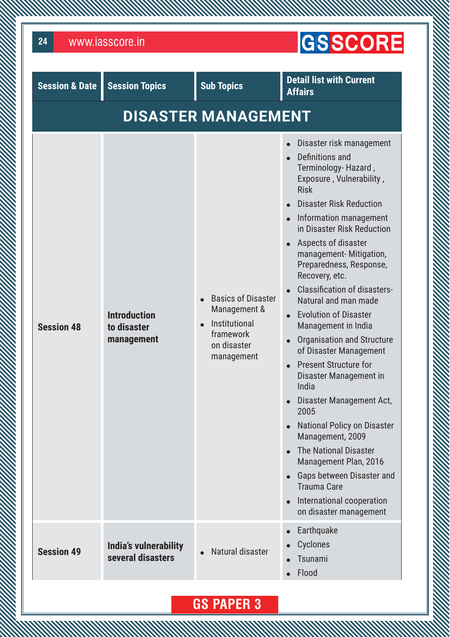| www.iasscore.in<br>24     | <b>GSSCORE</b>                                   |                                                                                                      |                                                                                                                                                                                                                                                                                                                                                                                                                                                                                                                                                                                                                                                                                                                                                                                                                                |
|---------------------------|--------------------------------------------------|------------------------------------------------------------------------------------------------------|--------------------------------------------------------------------------------------------------------------------------------------------------------------------------------------------------------------------------------------------------------------------------------------------------------------------------------------------------------------------------------------------------------------------------------------------------------------------------------------------------------------------------------------------------------------------------------------------------------------------------------------------------------------------------------------------------------------------------------------------------------------------------------------------------------------------------------|
| <b>Session &amp; Date</b> | <b>Session Topics</b>                            | <b>Sub Topics</b>                                                                                    | <b>Detail list with Current</b><br><b>Affairs</b>                                                                                                                                                                                                                                                                                                                                                                                                                                                                                                                                                                                                                                                                                                                                                                              |
|                           |                                                  | <b>DISASTER MANAGEMENT</b>                                                                           |                                                                                                                                                                                                                                                                                                                                                                                                                                                                                                                                                                                                                                                                                                                                                                                                                                |
| <b>Session 48</b>         | <b>Introduction</b><br>to disaster<br>management | <b>Basics of Disaster</b><br>Management &<br>Institutional<br>framework<br>on disaster<br>management | Disaster risk management<br>Definitions and<br>Terminology-Hazard,<br>Exposure, Vulnerability,<br><b>Risk</b><br><b>Disaster Risk Reduction</b><br>Information management<br>in Disaster Risk Reduction<br>Aspects of disaster<br>management-Mitigation,<br>Preparedness, Response,<br>Recovery, etc.<br><b>Classification of disasters-</b><br>Natural and man made<br><b>Evolution of Disaster</b><br>Management in India<br><b>Organisation and Structure</b><br>of Disaster Management<br><b>Present Structure for</b><br>Disaster Management in<br>India<br>Disaster Management Act,<br>2005<br><b>National Policy on Disaster</b><br>Management, 2009<br><b>The National Disaster</b><br>Management Plan, 2016<br>Gaps between Disaster and<br><b>Trauma Care</b><br>International cooperation<br>on disaster management |
| <b>Session 49</b>         | India's vulnerability<br>several disasters       | Natural disaster                                                                                     | Earthquake<br>Cyclones<br>Tsunami<br>Flood                                                                                                                                                                                                                                                                                                                                                                                                                                                                                                                                                                                                                                                                                                                                                                                     |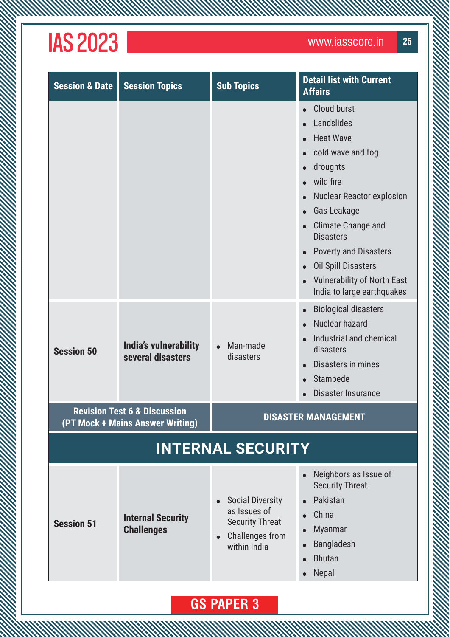**MW** 

| <b>Session &amp; Date</b> | <b>Session Topics</b>                                                       | <b>Sub Topics</b>                                                                                    | <b>Detail list with Current</b><br><b>Affairs</b>                                                                                                                                                                                                                                                                                        |
|---------------------------|-----------------------------------------------------------------------------|------------------------------------------------------------------------------------------------------|------------------------------------------------------------------------------------------------------------------------------------------------------------------------------------------------------------------------------------------------------------------------------------------------------------------------------------------|
|                           |                                                                             |                                                                                                      | <b>Cloud burst</b><br>Landslides<br><b>Heat Wave</b><br>cold wave and fog<br>droughts<br>wild fire<br><b>Nuclear Reactor explosion</b><br>Gas Leakage<br><b>Climate Change and</b><br><b>Disasters</b><br><b>Poverty and Disasters</b><br><b>Oil Spill Disasters</b><br><b>Vulnerability of North East</b><br>India to large earthquakes |
| <b>Session 50</b>         | India's vulnerability<br>several disasters                                  | Man-made<br>disasters                                                                                | <b>Biological disasters</b><br>Nuclear hazard<br>Industrial and chemical<br>disasters<br>Disasters in mines<br>Stampede<br>Disaster Insurance                                                                                                                                                                                            |
|                           | <b>Revision Test 6 &amp; Discussion</b><br>(PT Mock + Mains Answer Writing) |                                                                                                      | <b>DISASTER MANAGEMENT</b>                                                                                                                                                                                                                                                                                                               |
|                           |                                                                             | <b>INTERNAL SECURITY</b>                                                                             |                                                                                                                                                                                                                                                                                                                                          |
| <b>Session 51</b>         | <b>Internal Security</b><br><b>Challenges</b>                               | <b>Social Diversity</b><br>as Issues of<br><b>Security Threat</b><br>Challenges from<br>within India | Neighbors as Issue of<br><b>Security Threat</b><br>Pakistan<br>China<br><b>Myanmar</b><br><b>Bangladesh</b><br><b>Bhutan</b><br>Nepal                                                                                                                                                                                                    |
| <b>GS PAPER 3</b>         |                                                                             |                                                                                                      |                                                                                                                                                                                                                                                                                                                                          |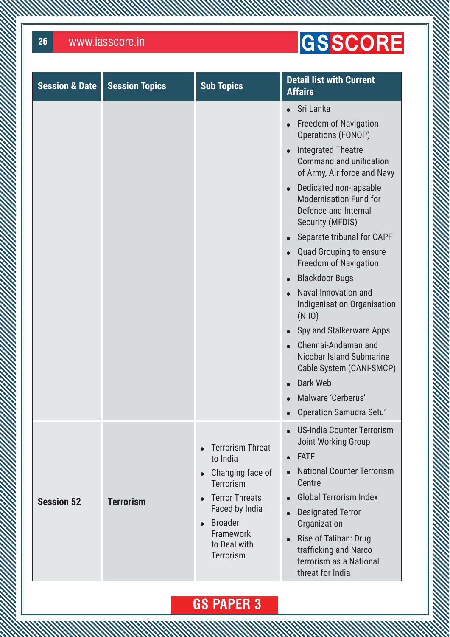**MWW** 

### GSSCORE

| <b>Session &amp; Date</b> | <b>Session Topics</b> | <b>Sub Topics</b>                                                                                                                                                                         | <b>Detail list with Current</b><br><b>Affairs</b>                                                                                                                                                                                                                                                                                                                                                                                                                                                                                                                                                                                                                                                |
|---------------------------|-----------------------|-------------------------------------------------------------------------------------------------------------------------------------------------------------------------------------------|--------------------------------------------------------------------------------------------------------------------------------------------------------------------------------------------------------------------------------------------------------------------------------------------------------------------------------------------------------------------------------------------------------------------------------------------------------------------------------------------------------------------------------------------------------------------------------------------------------------------------------------------------------------------------------------------------|
|                           |                       |                                                                                                                                                                                           | Sri Lanka<br>$\bullet$<br><b>Freedom of Navigation</b><br>Operations (FONOP)<br><b>Integrated Theatre</b><br>$\bullet$<br><b>Command and unification</b><br>of Army, Air force and Navy<br>Dedicated non-lapsable<br>$\bullet$<br><b>Modernisation Fund for</b><br>Defence and Internal<br><b>Security (MFDIS)</b><br>Separate tribunal for CAPF<br><b>Quad Grouping to ensure</b><br><b>Freedom of Navigation</b><br><b>Blackdoor Bugs</b><br>Naval Innovation and<br>Indigenisation Organisation<br>(NIO)<br>Spy and Stalkerware Apps<br>Chennai-Andaman and<br>Nicobar Island Submarine<br>Cable System (CANI-SMCP)<br>Dark Web<br>$\bullet$<br>Malware 'Cerberus'<br>Operation Samudra Setu' |
| <b>Session 52</b>         | <b>Terrorism</b>      | <b>Terrorism Threat</b><br>to India<br>Changing face of<br><b>Terrorism</b><br><b>Terror Threats</b><br>Faced by India<br><b>Broader</b><br><b>Framework</b><br>to Deal with<br>Terrorism | <b>US-India Counter Terrorism</b><br><b>Joint Working Group</b><br><b>FATF</b><br><b>National Counter Terrorism</b><br>Centre<br><b>Global Terrorism Index</b><br><b>Designated Terror</b><br>Organization<br>Rise of Taliban: Drug<br>$\bullet$<br>trafficking and Narco<br>terrorism as a National<br>threat for India                                                                                                                                                                                                                                                                                                                                                                         |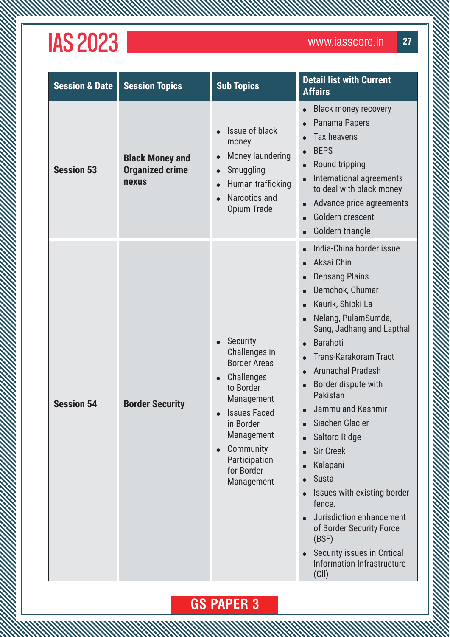**MWW** 

| <b>Session &amp; Date</b> | <b>Session Topics</b>                                     | <b>Sub Topics</b>                                                                                                                                                                                                                                   | <b>Detail list with Current</b><br><b>Affairs</b>                                                                                                                                                                                                                                                                                                                                                                                                                                                                                                                             |
|---------------------------|-----------------------------------------------------------|-----------------------------------------------------------------------------------------------------------------------------------------------------------------------------------------------------------------------------------------------------|-------------------------------------------------------------------------------------------------------------------------------------------------------------------------------------------------------------------------------------------------------------------------------------------------------------------------------------------------------------------------------------------------------------------------------------------------------------------------------------------------------------------------------------------------------------------------------|
| <b>Session 53</b>         | <b>Black Money and</b><br><b>Organized crime</b><br>nexus | Issue of black<br>money<br>Money laundering<br>$\bullet$<br>Smuggling<br>$\bullet$<br>Human trafficking<br>Narcotics and<br><b>Opium Trade</b>                                                                                                      | <b>Black money recovery</b><br>Panama Papers<br><b>Tax heavens</b><br><b>BEPS</b><br>Round tripping<br>International agreements<br>to deal with black money<br>Advance price agreements<br>Goldern crescent<br>Goldern triangle                                                                                                                                                                                                                                                                                                                                               |
| <b>Session 54</b>         | <b>Border Security</b>                                    | <b>Security</b><br>$\bullet$<br>Challenges in<br><b>Border Areas</b><br>Challenges<br>$\bullet$<br>to Border<br>Management<br><b>Issues Faced</b><br>in Border<br>Management<br>Community<br>$\bullet$<br>Participation<br>for Border<br>Management | India-China border issue<br>Aksai Chin<br><b>Depsang Plains</b><br>Demchok, Chumar<br>Kaurik, Shipki La<br>Nelang, PulamSumda,<br>Sang, Jadhang and Lapthal<br><b>Barahoti</b><br><b>Trans-Karakoram Tract</b><br><b>Arunachal Pradesh</b><br>Border dispute with<br>Pakistan<br>Jammu and Kashmir<br>Siachen Glacier<br><b>Saltoro Ridge</b><br><b>Sir Creek</b><br>Kalapani<br><b>Susta</b><br>Issues with existing border<br>fence.<br>Jurisdiction enhancement<br>of Border Security Force<br>(BSF)<br>Security issues in Critical<br>Information Infrastructure<br>(ClI) |

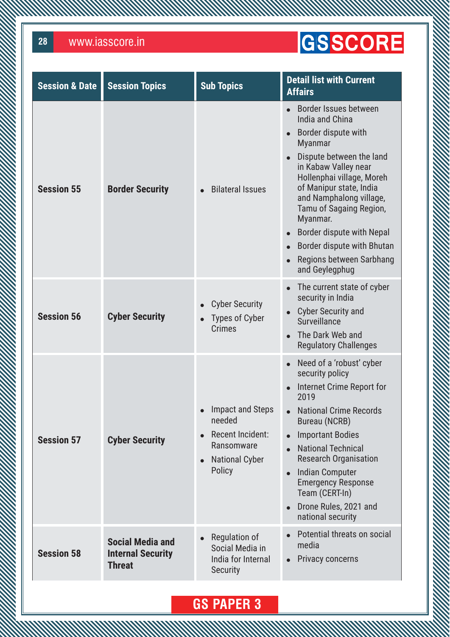**MMW** 

### GSSCORE

| <b>Session &amp; Date</b> | <b>Session Topics</b>                                                | <b>Sub Topics</b>                                                                                                         | <b>Detail list with Current</b><br><b>Affairs</b>                                                                                                                                                                                                                                                                                                                        |
|---------------------------|----------------------------------------------------------------------|---------------------------------------------------------------------------------------------------------------------------|--------------------------------------------------------------------------------------------------------------------------------------------------------------------------------------------------------------------------------------------------------------------------------------------------------------------------------------------------------------------------|
| <b>Session 55</b>         | <b>Border Security</b>                                               | <b>Bilateral Issues</b>                                                                                                   | Border Issues between<br>India and China<br>Border dispute with<br><b>Myanmar</b><br>Dispute between the land<br>in Kabaw Valley near<br>Hollenphai village, Moreh<br>of Manipur state, India<br>and Namphalong village,<br>Tamu of Sagaing Region,<br>Myanmar.<br>Border dispute with Nepal<br>Border dispute with Bhutan<br>Regions between Sarbhang<br>and Geylegphug |
| <b>Session 56</b>         | <b>Cyber Security</b>                                                | <b>Cyber Security</b><br><b>Types of Cyber</b><br>$\bullet$<br><b>Crimes</b>                                              | The current state of cyber<br>security in India<br><b>Cyber Security and</b><br>Surveillance<br>The Dark Web and<br><b>Regulatory Challenges</b>                                                                                                                                                                                                                         |
| <b>Session 57</b>         | <b>Cyber Security</b>                                                | Impact and Steps<br>needed<br>Recent Incident:<br>$\bullet$<br>Ransomware<br><b>National Cyber</b><br>$\bullet$<br>Policy | Need of a 'robust' cyber<br>security policy<br>Internet Crime Report for<br>2019<br><b>National Crime Records</b><br><b>Bureau (NCRB)</b><br><b>Important Bodies</b><br><b>National Technical</b><br><b>Research Organisation</b><br><b>Indian Computer</b><br><b>Emergency Response</b><br>Team (CERT-In)<br>Drone Rules, 2021 and<br>national security                 |
| <b>Session 58</b>         | <b>Social Media and</b><br><b>Internal Security</b><br><b>Threat</b> | Regulation of<br>$\bullet$<br>Social Media in<br>India for Internal<br><b>Security</b>                                    | Potential threats on social<br>media<br><b>Privacy concerns</b><br>$\bullet$                                                                                                                                                                                                                                                                                             |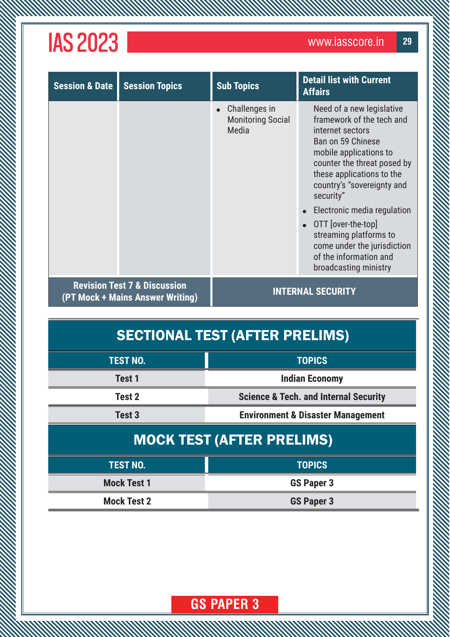| <b>Session &amp; Date</b>                                                   | <b>Session Topics</b> | <b>Sub Topics</b>                                  | <b>Detail list with Current</b><br><b>Affairs</b>                                                                                                                                                                                |
|-----------------------------------------------------------------------------|-----------------------|----------------------------------------------------|----------------------------------------------------------------------------------------------------------------------------------------------------------------------------------------------------------------------------------|
|                                                                             |                       | Challenges in<br><b>Monitoring Social</b><br>Media | Need of a new legislative<br>framework of the tech and<br>internet sectors<br>Ban on 59 Chinese<br>mobile applications to<br>counter the threat posed by<br>these applications to the<br>country's "sovereignty and<br>security" |
|                                                                             |                       |                                                    | Electronic media regulation                                                                                                                                                                                                      |
|                                                                             |                       |                                                    | OTT [over-the-top]<br>streaming platforms to<br>come under the jurisdiction<br>of the information and<br>broadcasting ministry                                                                                                   |
| <b>Revision Test 7 &amp; Discussion</b><br>(PT Mock + Mains Answer Writing) |                       |                                                    | <b>INTERNAL SECURITY</b>                                                                                                                                                                                                         |

#### SECTIONAL TEST (AFTER PRELIMS)

| <b>TEST NO.</b>   | <b>TOPICS</b>                                    |
|-------------------|--------------------------------------------------|
| Test 1            | <b>Indian Economy</b>                            |
| Test 2            | <b>Science &amp; Tech. and Internal Security</b> |
| Test <sub>3</sub> | <b>Environment &amp; Disaster Management</b>     |
|                   |                                                  |

#### MOCK TEST (AFTER PRELIMS)

| <b>TEST NO.</b>    | <b>TOPICS</b>     |
|--------------------|-------------------|
| <b>Mock Test 1</b> | <b>GS Paper 3</b> |
| <b>Mock Test 2</b> | <b>GS Paper 3</b> |